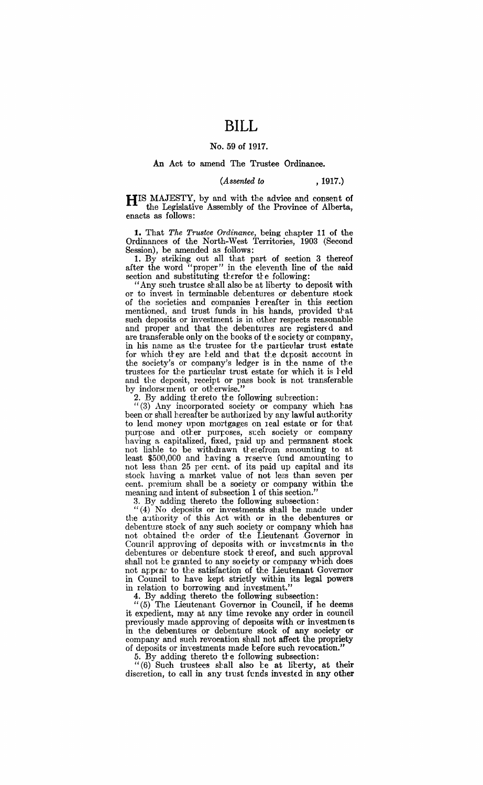# **BILL**

### No. 59 of 1917.

#### An Act to amend The Trustee Ordinance.

#### *(Assented to* , 1917.)

**HIS** MAJESTY, by and with the advice and consent of the Legislative Assembly of the Province of Alberta, enacts as follows:

**1.** That *The Trustee Ordinance,* being chapter 11 of the Ordinances of the North-West Territories, 1903 (Second Session), be amended as follows:

1. By striking out all that part of section 3 thereof after the word "proper" in the eleventh line of the said section and substituting therefor the following:

"Any such trustee shall also be at liberty to deposit with or to invest in terminable debentures or debenture stock of the societies and companies I-ereafter in this section mentioned, and trust funds in his hands, provided that such deposits or investment is in other respects reasonable and proper and that the debentures are registered and are transferable only on the books of the society or company, in his name as the trustee for the particular trust estate for which they are held and that the deposit account in the society's or company's ledger is in the name of the trustees for the particular trust estate for which it is held and the deposit, receipt or pass book is not transferable by indorsement or otherwise.'

2. By adding thereto the following subsection:

"(3) Any incorporated society or company which has been or shall hereafter be authorized by any lawful authority to lend money upon mortgages on leal estate or for that purpose and other purposes, such society or company having a capitalized, fixed, paid up and permanent stock not liable to be withdrawn tferefrom amounting to at least \$500,000 and having a reserve fund amounting to not less than 25 per cent. of its paid up capital and its stock having a market value of not less than seven per cent. premium shall be a society or company within the meaning and intent of subsection 1 of this section."

3. By adding thereto the following subsection:

" (4) No deposits or investments shall be made under the authority of this Act with or in the debentures or debenture stock of any such society or company which has not obtained the order of the Lieutenant Governor in Council approving of deposits with or investments in the debentures or debenture stock tt ereof, and such approval shall not be granted to any society or company which does not appear to the satisfaction of the Lieutenant Governor in Council to have kept strictly within its legal powers in relation to borrowing and investment."

4. By adding thereto the following subsection:

"(5) The Lieutenant Governor in Council, if he deems it expedient, may at any time revoke any order in council previously made approving of deposits with or investmen 1s in the debentures or debenture stock of any society or company and such revocation shall not affect the propriety of deposits or investments made tefore such revocation."

5. By adding thereto the following subsection:

"(6) Such trustees shall also be at liberty, at their discretion, to call in any trust funds invested in any other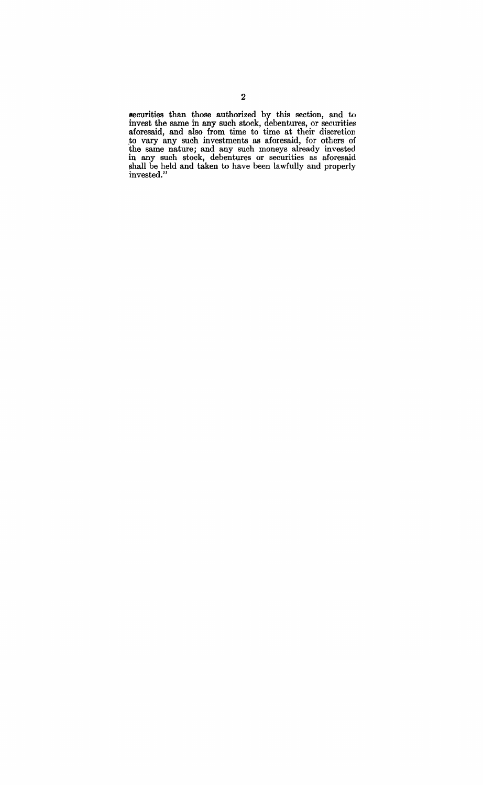securities than those authorized by this section, and to invest the same in any such stock, debentures, or securities aforesaid, and also from time to time at their discretion ,to vary any such investments as aforesaid, for others of the same nature; and any such moneys already invested in any such stock, debentures or securities as aforesaid shall be held and taken to have been lawfully and properly  $i$ nvested. $"$